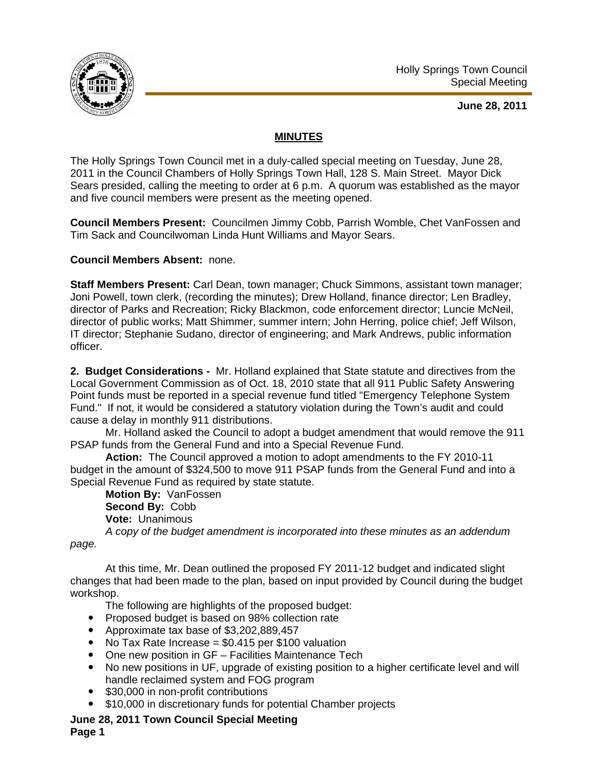

**June 28, 2011** 

## **MINUTES**

The Holly Springs Town Council met in a duly-called special meeting on Tuesday, June 28, 2011 in the Council Chambers of Holly Springs Town Hall, 128 S. Main Street. Mayor Dick Sears presided, calling the meeting to order at 6 p.m. A quorum was established as the mayor and five council members were present as the meeting opened.

**Council Members Present:** Councilmen Jimmy Cobb, Parrish Womble, Chet VanFossen and Tim Sack and Councilwoman Linda Hunt Williams and Mayor Sears.

## **Council Members Absent:** none.

**Staff Members Present:** Carl Dean, town manager; Chuck Simmons, assistant town manager; Joni Powell, town clerk, (recording the minutes); Drew Holland, finance director; Len Bradley, director of Parks and Recreation; Ricky Blackmon, code enforcement director; Luncie McNeil, director of public works; Matt Shimmer, summer intern; John Herring, police chief; Jeff Wilson, IT director; Stephanie Sudano, director of engineering; and Mark Andrews, public information officer.

**2. Budget Considerations -** Mr. Holland explained that State statute and directives from the Local Government Commission as of Oct. 18, 2010 state that all 911 Public Safety Answering Point funds must be reported in a special revenue fund titled "Emergency Telephone System Fund." If not, it would be considered a statutory violation during the Town's audit and could cause a delay in monthly 911 distributions.

 Mr. Holland asked the Council to adopt a budget amendment that would remove the 911 PSAP funds from the General Fund and into a Special Revenue Fund.

**Action:** The Council approved a motion to adopt amendments to the FY 2010-11 budget in the amount of \$324,500 to move 911 PSAP funds from the General Fund and into a Special Revenue Fund as required by state statute.

**Motion By:** VanFossen **Second By:** Cobb **Vote:** Unanimous

*A copy of the budget amendment is incorporated into these minutes as an addendum* 

*page.* 

 At this time, Mr. Dean outlined the proposed FY 2011-12 budget and indicated slight changes that had been made to the plan, based on input provided by Council during the budget workshop.

The following are highlights of the proposed budget:

- Proposed budget is based on 98% collection rate
- Approximate tax base of \$3,202,889,457
- No Tax Rate Increase  $= $0.415$  per \$100 valuation
- One new position in GF Facilities Maintenance Tech
- No new positions in UF, upgrade of existing position to a higher certificate level and will handle reclaimed system and FOG program
- \$30,000 in non-profit contributions
- \$10,000 in discretionary funds for potential Chamber projects

## **June 28, 2011 Town Council Special Meeting Page 1**